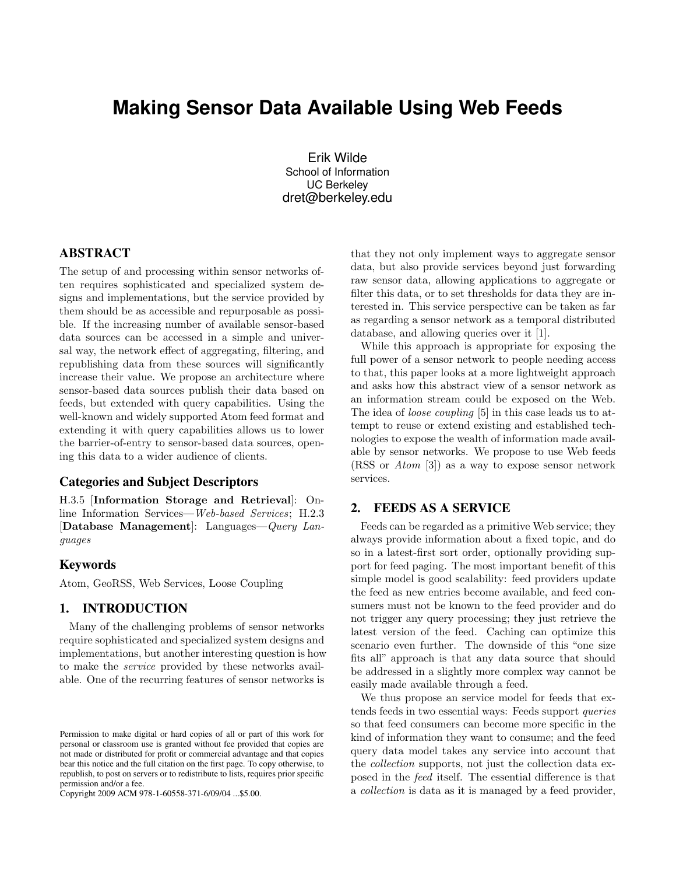# **Making Sensor Data Available Using Web Feeds**

Erik Wilde School of Information UC Berkeley dret@berkeley.edu

## ABSTRACT

The setup of and processing within sensor networks often requires sophisticated and specialized system designs and implementations, but the service provided by them should be as accessible and repurposable as possible. If the increasing number of available sensor-based data sources can be accessed in a simple and universal way, the network effect of aggregating, filtering, and republishing data from these sources will significantly increase their value. We propose an architecture where sensor-based data sources publish their data based on feeds, but extended with query capabilities. Using the well-known and widely supported Atom feed format and extending it with query capabilities allows us to lower the barrier-of-entry to sensor-based data sources, opening this data to a wider audience of clients.

#### Categories and Subject Descriptors

H.3.5 [Information Storage and Retrieval]: Online Information Services—Web-based Services; H.2.3 [Database Management]: Languages—Query Languages

#### Keywords

Atom, GeoRSS, Web Services, Loose Coupling

#### 1. INTRODUCTION

Many of the challenging problems of sensor networks require sophisticated and specialized system designs and implementations, but another interesting question is how to make the service provided by these networks available. One of the recurring features of sensor networks is

Copyright 2009 ACM 978-1-60558-371-6/09/04 ...\$5.00.

that they not only implement ways to aggregate sensor data, but also provide services beyond just forwarding raw sensor data, allowing applications to aggregate or filter this data, or to set thresholds for data they are interested in. This service perspective can be taken as far as regarding a sensor network as a temporal distributed database, and allowing queries over it [\[1\]](#page-1-0).

While this approach is appropriate for exposing the full power of a sensor network to people needing access to that, this paper looks at a more lightweight approach and asks how this abstract view of a sensor network as an information stream could be exposed on the Web. The idea of loose coupling [\[5\]](#page-1-0) in this case leads us to attempt to reuse or extend existing and established technologies to expose the wealth of information made available by sensor networks. We propose to use Web feeds (RSS or Atom [\[3\]](#page-1-0)) as a way to expose sensor network services.

## 2. FEEDS AS A SERVICE

Feeds can be regarded as a primitive Web service; they always provide information about a fixed topic, and do so in a latest-first sort order, optionally providing support for feed paging. The most important benefit of this simple model is good scalability: feed providers update the feed as new entries become available, and feed consumers must not be known to the feed provider and do not trigger any query processing; they just retrieve the latest version of the feed. Caching can optimize this scenario even further. The downside of this "one size fits all" approach is that any data source that should be addressed in a slightly more complex way cannot be easily made available through a feed.

We thus propose an service model for feeds that extends feeds in two essential ways: Feeds support queries so that feed consumers can become more specific in the kind of information they want to consume; and the feed query data model takes any service into account that the collection supports, not just the collection data exposed in the feed itself. The essential difference is that a collection is data as it is managed by a feed provider,

Permission to make digital or hard copies of all or part of this work for personal or classroom use is granted without fee provided that copies are not made or distributed for profit or commercial advantage and that copies bear this notice and the full citation on the first page. To copy otherwise, to republish, to post on servers or to redistribute to lists, requires prior specific permission and/or a fee.